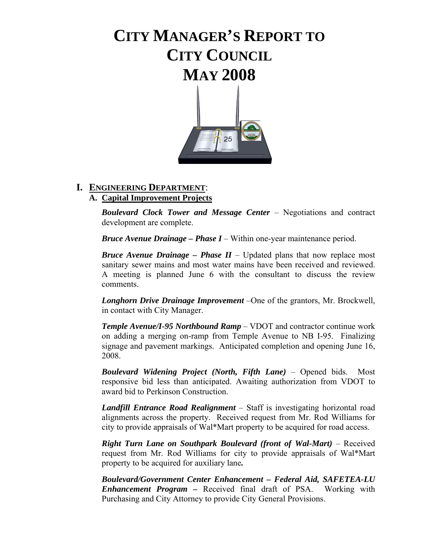# **CITY MANAGER'S REPORT TO CITY COUNCIL MAY 2008**



# **I. ENGINEERING DEPARTMENT**:

# **A. Capital Improvement Projects**

 *Boulevard Clock Tower and Message Center* – Negotiations and contract development are complete.

 *Bruce Avenue Drainage – Phase I* – Within one-year maintenance period.

 *Bruce Avenue Drainage – Phase II* – Updated plans that now replace most sanitary sewer mains and most water mains have been received and reviewed. A meeting is planned June 6 with the consultant to discuss the review comments.

 *Longhorn Drive Drainage Improvement* –One of the grantors, Mr. Brockwell, in contact with City Manager.

 *Temple Avenue/I-95 Northbound Ramp* – VDOT and contractor continue work on adding a merging on-ramp from Temple Avenue to NB I-95. Finalizing signage and pavement markings. Anticipated completion and opening June 16, 2008.

 *Boulevard Widening Project (North, Fifth Lane)* – Opened bids. Most responsive bid less than anticipated. Awaiting authorization from VDOT to award bid to Perkinson Construction.

 *Landfill Entrance Road Realignment* – Staff is investigating horizontal road alignments across the property. Received request from Mr. Rod Williams for city to provide appraisals of Wal\*Mart property to be acquired for road access.

 *Right Turn Lane on Southpark Boulevard (front of Wal-Mart)* – Received request from Mr. Rod Williams for city to provide appraisals of Wal\*Mart property to be acquired for auxiliary lane*.* 

 *Boulevard/Government Center Enhancement – Federal Aid, SAFETEA-LU Enhancement Program –* Received final draft of PSA. Working with Purchasing and City Attorney to provide City General Provisions.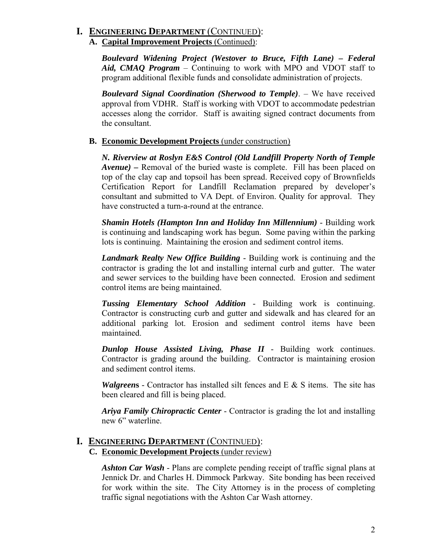### **I. ENGINEERING DEPARTMENT** (CONTINUED): **A. Capital Improvement Projects** (Continued):

 *Boulevard Widening Project (Westover to Bruce, Fifth Lane) – Federal Aid, CMAQ Program* – Continuing to work with MPO and VDOT staff to program additional flexible funds and consolidate administration of projects.

 *Boulevard Signal Coordination (Sherwood to Temple)*. – We have received approval from VDHR. Staff is working with VDOT to accommodate pedestrian accesses along the corridor. Staff is awaiting signed contract documents from the consultant.

#### **B. Economic Development Projects** (under construction)

 *N. Riverview at Roslyn E&S Control (Old Landfill Property North of Temple Avenue) –* Removal of the buried waste is complete. Fill has been placed on top of the clay cap and topsoil has been spread. Received copy of Brownfields Certification Report for Landfill Reclamation prepared by developer's consultant and submitted to VA Dept. of Environ. Quality for approval. They have constructed a turn-a-round at the entrance.

 *Shamin Hotels (Hampton Inn and Holiday Inn Millennium)* - Building work is continuing and landscaping work has begun. Some paving within the parking lots is continuing. Maintaining the erosion and sediment control items.

 *Landmark Realty New Office Building* - Building work is continuing and the contractor is grading the lot and installing internal curb and gutter. The water and sewer services to the building have been connected. Erosion and sediment control items are being maintained.

 *Tussing Elementary School Addition* - Building work is continuing. Contractor is constructing curb and gutter and sidewalk and has cleared for an additional parking lot. Erosion and sediment control items have been maintained.

 *Dunlop House Assisted Living, Phase II* - Building work continues. Contractor is grading around the building. Contractor is maintaining erosion and sediment control items.

 *Walgreen***s** - Contractor has installed silt fences and E & S items. The site has been cleared and fill is being placed.

 *Ariya Family Chiropractic Center* - Contractor is grading the lot and installing new 6" waterline.

#### **I. ENGINEERING DEPARTMENT** (CONTINUED): **C. Economic Development Projects** (under review)

 *Ashton Car Wash* - Plans are complete pending receipt of traffic signal plans at Jennick Dr. and Charles H. Dimmock Parkway. Site bonding has been received for work within the site. The City Attorney is in the process of completing traffic signal negotiations with the Ashton Car Wash attorney.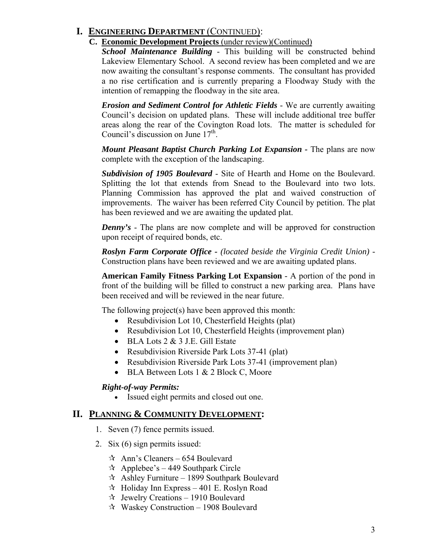# **I. ENGINEERING DEPARTMENT** (CONTINUED):

# **C. Economic Development Projects** (under review)(Continued)

 *School Maintenance Building* - This building will be constructed behind Lakeview Elementary School. A second review has been completed and we are now awaiting the consultant's response comments. The consultant has provided a no rise certification and is currently preparing a Floodway Study with the intention of remapping the floodway in the site area.

 *Erosion and Sediment Control for Athletic Fields* - We are currently awaiting Council's decision on updated plans. These will include additional tree buffer areas along the rear of the Covington Road lots. The matter is scheduled for Council's discussion on June  $17<sup>th</sup>$ .

*Mount Pleasant Baptist Church Parking Lot Expansion - The plans are now* complete with the exception of the landscaping.

 *Subdivision of 1905 Boulevard* - Site of Hearth and Home on the Boulevard. Splitting the lot that extends from Snead to the Boulevard into two lots. Planning Commission has approved the plat and waived construction of improvements. The waiver has been referred City Council by petition. The plat has been reviewed and we are awaiting the updated plat.

*Denny's* - The plans are now complete and will be approved for construction upon receipt of required bonds, etc.

 *Roslyn Farm Corporate Office - (located beside the Virginia Credit Union) -*  Construction plans have been reviewed and we are awaiting updated plans.

 **American Family Fitness Parking Lot Expansion** - A portion of the pond in front of the building will be filled to construct a new parking area. Plans have been received and will be reviewed in the near future.

The following project(s) have been approved this month:

- Resubdivision Lot 10, Chesterfield Heights (plat)
- Resubdivision Lot 10, Chesterfield Heights (improvement plan)
- BLA Lots 2 & 3 J.E. Gill Estate
- Resubdivision Riverside Park Lots 37-41 (plat)
- Resubdivision Riverside Park Lots 37-41 (improvement plan)
- BLA Between Lots 1 & 2 Block C, Moore

#### *Right-of-way Permits:*

• Issued eight permits and closed out one.

#### **II. PLANNING & COMMUNITY DEVELOPMENT:**

- 1. Seven (7) fence permits issued.
- 2. Six (6) sign permits issued:
	- $\approx$  Ann's Cleaners 654 Boulevard
	- $\approx$  Applebee's 449 Southpark Circle
	- $\approx$  Ashley Furniture 1899 Southpark Boulevard
	- $\approx$  Holiday Inn Express 401 E. Roslyn Road
	- $\approx$  Jewelry Creations 1910 Boulevard
	- $\approx$  Waskey Construction 1908 Boulevard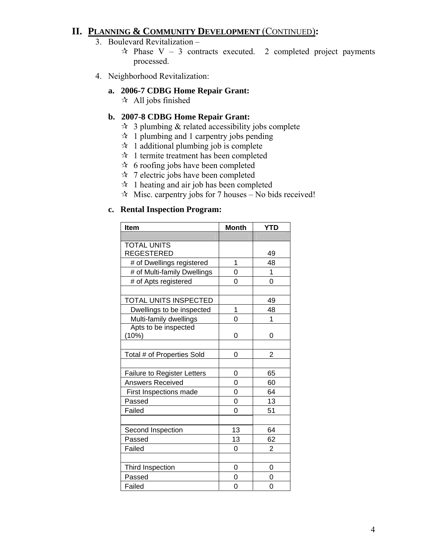# **II. PLANNING & COMMUNITY DEVELOPMENT** (CONTINUED)**:**

- 3. Boulevard Revitalization
	- $\star$  Phase V 3 contracts executed. 2 completed project payments processed.
- 4. Neighborhood Revitalization:

#### **a. 2006-7 CDBG Home Repair Grant:**

 $\star$  All jobs finished

#### **b. 2007-8 CDBG Home Repair Grant:**

- $\hat{x}$  3 plumbing & related accessibility jobs complete
- $\approx$  1 plumbing and 1 carpentry jobs pending
- $\approx$  1 additional plumbing job is complete
- $\approx$  1 termite treatment has been completed
- $\approx$  6 roofing jobs have been completed
- $\approx$  7 electric jobs have been completed
- $\mathbf{\hat{x}}$  1 heating and air job has been completed
- $\approx$  Misc. carpentry jobs for 7 houses No bids received!

#### **c. Rental Inspection Program:**

| <b>Item</b>                  | <b>Month</b> | <b>YTD</b>     |
|------------------------------|--------------|----------------|
|                              |              |                |
| <b>TOTAL UNITS</b>           |              |                |
| REGESTERED                   |              | 49             |
| # of Dwellings registered    | 1            | 48             |
| # of Multi-family Dwellings  | 0            | 1              |
| # of Apts registered         | 0            | 0              |
|                              |              |                |
| <b>TOTAL UNITS INSPECTED</b> |              | 49             |
| Dwellings to be inspected    | 1            | 48             |
| Multi-family dwellings       | 0            | 1              |
| Apts to be inspected         |              |                |
| (10%)                        | 0            | 0              |
|                              |              |                |
| Total # of Properties Sold   | 0            | $\overline{2}$ |
|                              |              |                |
| Failure to Register Letters  | 0            | 65             |
| <b>Answers Received</b>      | 0            | 60             |
| First Inspections made       | 0            | 64             |
| Passed                       | 0            | 13             |
| Failed                       | 0            | 51             |
|                              |              |                |
| Second Inspection            | 13           | 64             |
| Passed                       | 13           | 62             |
| Failed                       | 0            | $\overline{2}$ |
|                              |              |                |
| Third Inspection             | 0            | 0              |
| Passed                       | 0            | 0              |
| Failed                       | 0            | 0              |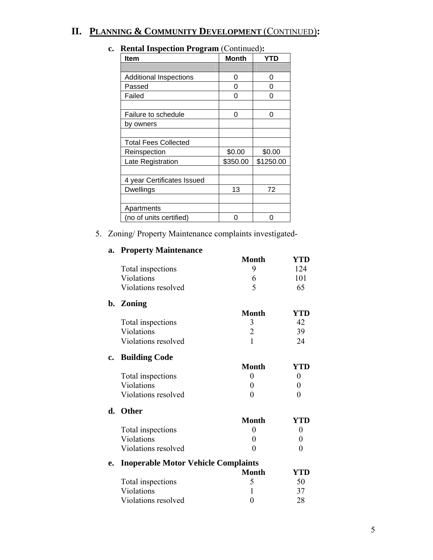# **II. PLANNING & COMMUNITY DEVELOPMENT** (CONTINUED)**:**

| $\kappa$ chtar Hispection I rogram (Commucu). |          |            |
|-----------------------------------------------|----------|------------|
| Item                                          | Month    | <b>YTD</b> |
|                                               |          |            |
| <b>Additional Inspections</b>                 | 0        | 0          |
| Passed                                        | 0        | 0          |
| Failed                                        | 0        | 0          |
|                                               |          |            |
| Failure to schedule                           | 0        | 0          |
| by owners                                     |          |            |
|                                               |          |            |
| <b>Total Fees Collected</b>                   |          |            |
| Reinspection                                  | \$0.00   | \$0.00     |
| Late Registration                             | \$350.00 | \$1250.00  |
|                                               |          |            |
| 4 year Certificates Issued                    |          |            |
| <b>Dwellings</b>                              | 13       | 72         |
|                                               |          |            |
| Apartments                                    |          |            |
| (no of units certified)                       | 0        | ი          |
|                                               |          |            |

# **c. Rental Inspection Program** (Continued)**:**

#### 5. Zoning/ Property Maintenance complaints investigated-

| <b>Month</b><br>YTD<br>Total inspections<br>9<br>124<br>Violations<br>101<br>6<br>5<br>Violations resolved<br>65<br>b. Zoning<br><b>Month</b><br><b>YTD</b><br>42<br>Total inspections<br>3<br>$\overline{2}$<br>Violations<br>39<br>$\mathbf{1}$<br>Violations resolved<br>24 |
|--------------------------------------------------------------------------------------------------------------------------------------------------------------------------------------------------------------------------------------------------------------------------------|
|                                                                                                                                                                                                                                                                                |
|                                                                                                                                                                                                                                                                                |
|                                                                                                                                                                                                                                                                                |
|                                                                                                                                                                                                                                                                                |
|                                                                                                                                                                                                                                                                                |
|                                                                                                                                                                                                                                                                                |
|                                                                                                                                                                                                                                                                                |
|                                                                                                                                                                                                                                                                                |
|                                                                                                                                                                                                                                                                                |
| <b>Building Code</b><br>$c_{\bullet}$                                                                                                                                                                                                                                          |
| <b>Month</b><br><b>YTD</b>                                                                                                                                                                                                                                                     |
| Total inspections<br>$\theta$<br>$\theta$                                                                                                                                                                                                                                      |
| Violations<br>0<br>$\boldsymbol{0}$                                                                                                                                                                                                                                            |
| Violations resolved<br>$\overline{0}$<br>0                                                                                                                                                                                                                                     |
| d. Other                                                                                                                                                                                                                                                                       |
| <b>Month</b><br>YTD                                                                                                                                                                                                                                                            |
| Total inspections<br>$\overline{0}$                                                                                                                                                                                                                                            |
| Violations<br>$\theta$                                                                                                                                                                                                                                                         |
| Violations resolved<br>$\theta$                                                                                                                                                                                                                                                |
| <b>Inoperable Motor Vehicle Complaints</b><br>e.                                                                                                                                                                                                                               |
| <b>Month</b><br><b>YTD</b>                                                                                                                                                                                                                                                     |
| Total inspections<br>5<br>50                                                                                                                                                                                                                                                   |
| Violations<br>37<br>1                                                                                                                                                                                                                                                          |
| Violations resolved<br>$\boldsymbol{0}$<br>28                                                                                                                                                                                                                                  |

#### **a. Property Maintenance**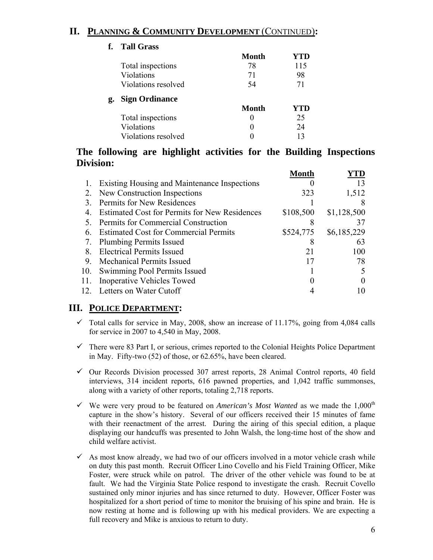# **II. PLANNING & COMMUNITY DEVELOPMENT** (CONTINUED)**:**

#### **f. Tall Grass Month YTD**  Total inspections 78 115 Violations 71 98 Violations resolved 54 54 71 **g. Sign Ordinance Month YTD**  Total inspections 0 25 Violations 0 24 Violations resolved 0 13

# **The following are highlight activities for the Building Inspections Division:**

|                                                      | Month                                                         |             |
|------------------------------------------------------|---------------------------------------------------------------|-------------|
| Existing Housing and Maintenance Inspections         |                                                               | 13          |
| New Construction Inspections                         | 323                                                           | 1,512       |
| Permits for New Residences                           |                                                               |             |
| <b>Estimated Cost for Permits for New Residences</b> | \$108,500                                                     | \$1,128,500 |
| Permits for Commercial Construction                  |                                                               |             |
| <b>Estimated Cost for Commercial Permits</b>         | \$524,775                                                     | \$6,185,229 |
|                                                      |                                                               | 63          |
| <b>Electrical Permits Issued</b>                     | 21                                                            | 100         |
| <b>Mechanical Permits Issued</b>                     | 17                                                            | 78          |
| Swimming Pool Permits Issued                         |                                                               |             |
| <b>Inoperative Vehicles Towed</b>                    |                                                               |             |
|                                                      |                                                               |             |
|                                                      | <b>Plumbing Permits Issued</b><br>12. Letters on Water Cutoff |             |

# **III. POLICE DEPARTMENT:**

- $\checkmark$  Total calls for service in May, 2008, show an increase of 11.17%, going from 4,084 calls for service in 2007 to 4,540 in May, 2008.
- $\checkmark$  There were 83 Part I, or serious, crimes reported to the Colonial Heights Police Department in May. Fifty-two (52) of those, or 62.65%, have been cleared.
- $\checkmark$  Our Records Division processed 307 arrest reports, 28 Animal Control reports, 40 field interviews, 314 incident reports, 616 pawned properties, and 1,042 traffic summonses, along with a variety of other reports, totaling 2,718 reports.
- $\checkmark$  We were very proud to be featured on *American's Most Wanted* as we made the 1,000<sup>th</sup> capture in the show's history. Several of our officers received their 15 minutes of fame with their reenactment of the arrest. During the airing of this special edition, a plaque displaying our handcuffs was presented to John Walsh, the long-time host of the show and child welfare activist.
- $\checkmark$  As most know already, we had two of our officers involved in a motor vehicle crash while on duty this past month. Recruit Officer Lino Covello and his Field Training Officer, Mike Foster, were struck while on patrol. The driver of the other vehicle was found to be at fault. We had the Virginia State Police respond to investigate the crash. Recruit Covello sustained only minor injuries and has since returned to duty. However, Officer Foster was hospitalized for a short period of time to monitor the bruising of his spine and brain. He is now resting at home and is following up with his medical providers. We are expecting a full recovery and Mike is anxious to return to duty.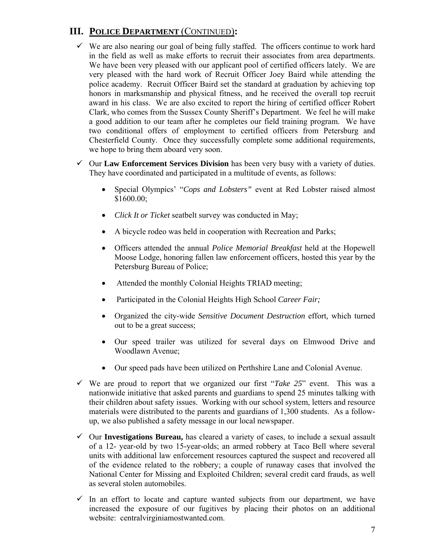# **III. POLICE DEPARTMENT** (CONTINUED)**:**

- $\checkmark$  We are also nearing our goal of being fully staffed. The officers continue to work hard in the field as well as make efforts to recruit their associates from area departments. We have been very pleased with our applicant pool of certified officers lately. We are very pleased with the hard work of Recruit Officer Joey Baird while attending the police academy. Recruit Officer Baird set the standard at graduation by achieving top honors in marksmanship and physical fitness, and he received the overall top recruit award in his class. We are also excited to report the hiring of certified officer Robert Clark, who comes from the Sussex County Sheriff's Department. We feel he will make a good addition to our team after he completes our field training program. We have two conditional offers of employment to certified officers from Petersburg and Chesterfield County. Once they successfully complete some additional requirements, we hope to bring them aboard very soon.
- $\checkmark$  Our **Law Enforcement Services Division** has been very busy with a variety of duties. They have coordinated and participated in a multitude of events, as follows:
	- Special Olympics' "*Cops and Lobsters"* event at Red Lobster raised almost \$1600.00;
	- *Click It or Ticket* seatbelt survey was conducted in May;
	- A bicycle rodeo was held in cooperation with Recreation and Parks;
	- Officers attended the annual *Police Memorial Breakfast* held at the Hopewell Moose Lodge, honoring fallen law enforcement officers, hosted this year by the Petersburg Bureau of Police;
	- Attended the monthly Colonial Heights TRIAD meeting;
	- Participated in the Colonial Heights High School *Career Fair;*
	- Organized the city-wide *Sensitive Document Destruction* effort*,* which turned out to be a great success;
	- Our speed trailer was utilized for several days on Elmwood Drive and Woodlawn Avenue;
	- Our speed pads have been utilized on Perthshire Lane and Colonial Avenue.
- $\checkmark$  We are proud to report that we organized our first "*Take 25*" event. This was a nationwide initiative that asked parents and guardians to spend 25 minutes talking with their children about safety issues. Working with our school system, letters and resource materials were distributed to the parents and guardians of 1,300 students. As a followup, we also published a safety message in our local newspaper.
- 9 Our **Investigations Bureau,** has cleared a variety of cases, to include a sexual assault of a 12- year-old by two 15-year-olds; an armed robbery at Taco Bell where several units with additional law enforcement resources captured the suspect and recovered all of the evidence related to the robbery; a couple of runaway cases that involved the National Center for Missing and Exploited Children; several credit card frauds, as well as several stolen automobiles.
- $\checkmark$  In an effort to locate and capture wanted subjects from our department, we have increased the exposure of our fugitives by placing their photos on an additional website: centralvirginiamostwanted.com.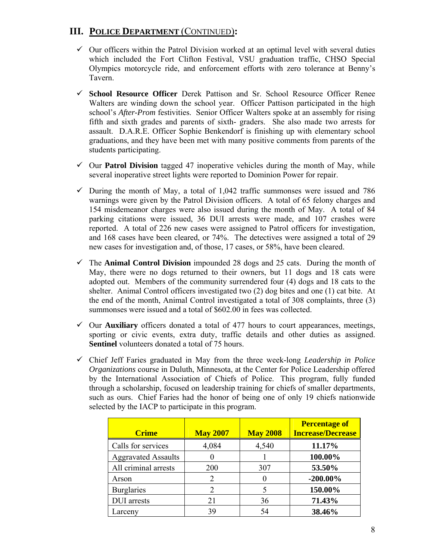# **III. POLICE DEPARTMENT** (CONTINUED)**:**

- $\checkmark$  Our officers within the Patrol Division worked at an optimal level with several duties which included the Fort Clifton Festival, VSU graduation traffic, CHSO Special Olympics motorcycle ride, and enforcement efforts with zero tolerance at Benny's Tavern.
- 9 **School Resource Officer** Derek Pattison and Sr. School Resource Officer Renee Walters are winding down the school year. Officer Pattison participated in the high school's *After-Prom* festivities. Senior Officer Walters spoke at an assembly for rising fifth and sixth grades and parents of sixth- graders. She also made two arrests for assault. D.A.R.E. Officer Sophie Benkendorf is finishing up with elementary school graduations, and they have been met with many positive comments from parents of the students participating.
- $\checkmark$  Our **Patrol Division** tagged 47 inoperative vehicles during the month of May, while several inoperative street lights were reported to Dominion Power for repair.
- $\checkmark$  During the month of May, a total of 1,042 traffic summonses were issued and 786 warnings were given by the Patrol Division officers. A total of 65 felony charges and 154 misdemeanor charges were also issued during the month of May. A total of 84 parking citations were issued, 36 DUI arrests were made, and 107 crashes were reported. A total of 226 new cases were assigned to Patrol officers for investigation, and 168 cases have been cleared, or 74%. The detectives were assigned a total of 29 new cases for investigation and, of those, 17 cases, or 58%, have been cleared.
- $\checkmark$  The **Animal Control Division** impounded 28 dogs and 25 cats. During the month of May, there were no dogs returned to their owners, but 11 dogs and 18 cats were adopted out. Members of the community surrendered four (4) dogs and 18 cats to the shelter. Animal Control officers investigated two (2) dog bites and one (1) cat bite. At the end of the month, Animal Control investigated a total of 308 complaints, three (3) summonses were issued and a total of \$602.00 in fees was collected.
- $\checkmark$  Our **Auxiliary** officers donated a total of 477 hours to court appearances, meetings, sporting or civic events, extra duty, traffic details and other duties as assigned. **Sentinel** volunteers donated a total of 75 hours.
- 9 Chief Jeff Faries graduated in May from the three week-long *Leadership in Police Organizations* course in Duluth, Minnesota, at the Center for Police Leadership offered by the International Association of Chiefs of Police. This program, fully funded through a scholarship, focused on leadership training for chiefs of smaller departments, such as ours. Chief Faries had the honor of being one of only 19 chiefs nationwide selected by the IACP to participate in this program.

| <b>Crime</b>               | <b>May 2007</b> | <b>May 2008</b> | <b>Percentage of</b><br><b>Increase/Decrease</b> |
|----------------------------|-----------------|-----------------|--------------------------------------------------|
| Calls for services         | 4,084           | 4,540           | 11.17%                                           |
| <b>Aggravated Assaults</b> |                 |                 | 100.00%                                          |
| All criminal arrests       | 200             | 307             | 53.50%                                           |
| Arson                      |                 | $\mathbf{0}$    | $-200.00\%$                                      |
| <b>Burglaries</b>          |                 |                 | 150.00%                                          |
| <b>DUI</b> arrests         | 21              | 36              | 71.43%                                           |
| Larceny                    | 39              | 54              | 38.46%                                           |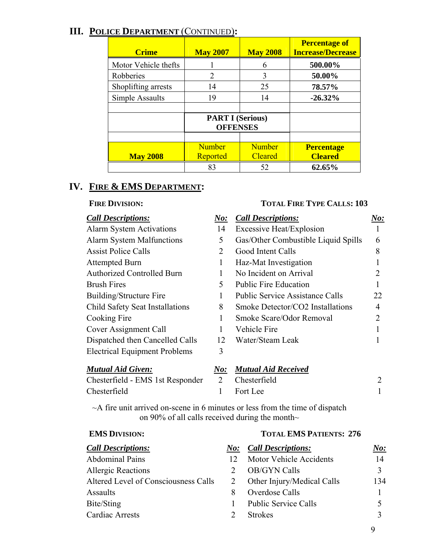# **III. POLICE DEPARTMENT** (CONTINUED)**:**

| <b>Crime</b>         | <b>May 2007</b>                            | <b>May 2008</b> | <b>Percentage of</b><br><b>Increase/Decrease</b> |
|----------------------|--------------------------------------------|-----------------|--------------------------------------------------|
| Motor Vehicle thefts |                                            | 6               | 500.00%                                          |
| Robberies            | 2                                          | 3               | 50.00%                                           |
| Shoplifting arrests  | 14                                         | 25              | 78.57%                                           |
| Simple Assaults      | 19                                         | 14              | $-26.32\%$                                       |
|                      |                                            |                 |                                                  |
|                      | <b>PART I (Serious)</b><br><b>OFFENSES</b> |                 |                                                  |
|                      |                                            |                 |                                                  |
|                      | <b>Number</b>                              | <b>Number</b>   | <b>Percentage</b>                                |
| <b>May 2008</b>      | Reported                                   | <b>Cleared</b>  | <b>Cleared</b>                                   |
|                      | 83                                         | 52              | 62.65%                                           |

# **IV. FIRE & EMS DEPARTMENT:**

#### FIRE DIVISION: TOTAL FIRE TYPE CALLS: 103

| <b>Call Descriptions:</b>              | N o: | <b>Call Descriptions:</b>              | $\bm{No:}$ |
|----------------------------------------|------|----------------------------------------|------------|
| <b>Alarm System Activations</b>        | 14   | <b>Excessive Heat/Explosion</b>        |            |
| <b>Alarm System Malfunctions</b>       | 5    | Gas/Other Combustible Liquid Spills    | 6          |
| <b>Assist Police Calls</b>             | 2    | Good Intent Calls                      | 8          |
| <b>Attempted Burn</b>                  | 1    | Haz-Mat Investigation                  |            |
| <b>Authorized Controlled Burn</b>      |      | No Incident on Arrival                 |            |
| <b>Brush Fires</b>                     | 5    | <b>Public Fire Education</b>           |            |
| Building/Structure Fire                |      | <b>Public Service Assistance Calls</b> | 22         |
| <b>Child Safety Seat Installations</b> | 8    | Smoke Detector/CO2 Installations       | 4          |
| Cooking Fire                           |      | Smoke Scare/Odor Removal               |            |
| Cover Assignment Call                  |      | Vehicle Fire                           |            |
| Dispatched then Cancelled Calls        | 12   | Water/Steam Leak                       |            |
| <b>Electrical Equipment Problems</b>   | 3    |                                        |            |
| <b>Mutual Aid Given:</b>               | No:  | <b>Mutual Aid Received</b>             |            |
|                                        |      |                                        |            |

Chesterfield - EMS 1st Responder 2 Chesterfield 2 Chesterfield 1 Fort Lee 1

 $\sim$ A fire unit arrived on-scene in 6 minutes or less from the time of dispatch on 90% of all calls received during the month $\sim$ 

**EMS DIVISION: TOTAL EMS PATIENTS: 276**

| <b>Call Descriptions:</b>            | $N$ o: | <b>Call Descriptions:</b>   | $\bm{No:}$ |
|--------------------------------------|--------|-----------------------------|------------|
| <b>Abdominal Pains</b>               | 12     | Motor Vehicle Accidents     | 14         |
| <b>Allergic Reactions</b>            |        | <b>OB/GYN Calls</b>         |            |
| Altered Level of Consciousness Calls |        | Other Injury/Medical Calls  | 134        |
| Assaults                             | 8      | Overdose Calls              |            |
| Bite/Sting                           |        | <b>Public Service Calls</b> |            |
| <b>Cardiac Arrests</b>               |        | <b>Strokes</b>              |            |
|                                      |        |                             |            |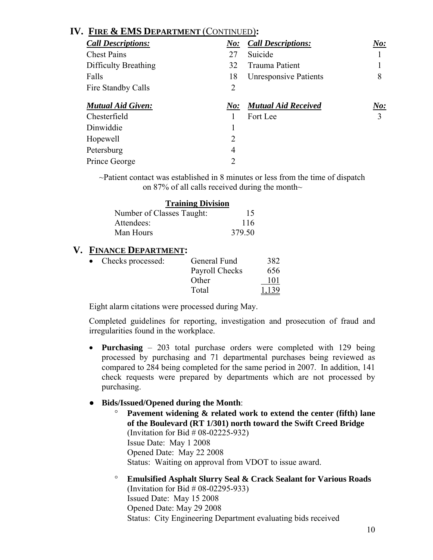# **IV. FIRE & EMS DEPARTMENT** (CONTINUED)**:**

| <b>Call Descriptions:</b> | $\boldsymbol{\it No:}$ | <b>Call Descriptions:</b>    | No: |
|---------------------------|------------------------|------------------------------|-----|
| <b>Chest Pains</b>        | 27                     | Suicide                      |     |
| Difficulty Breathing      | 32                     | <b>Trauma Patient</b>        |     |
| Falls                     | 18                     | <b>Unresponsive Patients</b> | 8   |
| Fire Standby Calls        | 2                      |                              |     |
| <b>Mutual Aid Given:</b>  | N o:                   | <b>Mutual Aid Received</b>   | No: |
| Chesterfield              |                        | Fort Lee                     | 3   |
| Dinwiddie                 |                        |                              |     |
| Hopewell                  | 2                      |                              |     |
| Petersburg                | 4                      |                              |     |
| Prince George             | 2                      |                              |     |

~Patient contact was established in 8 minutes or less from the time of dispatch on 87% of all calls received during the month $\sim$ 

| <b>Training Division</b>  |        |
|---------------------------|--------|
| Number of Classes Taught: | 15     |
| Attendees:                | 116    |
| Man Hours                 | 379.50 |

# **V. FINANCE DEPARTMENT:**

| • Checks processed: | General Fund   | 382   |
|---------------------|----------------|-------|
|                     | Payroll Checks | 656   |
|                     | Other          | 101   |
|                     | Total          | 1,139 |

Eight alarm citations were processed during May.

 Completed guidelines for reporting, investigation and prosecution of fraud and irregularities found in the workplace.

• **Purchasing** – 203 total purchase orders were completed with 129 being processed by purchasing and 71 departmental purchases being reviewed as compared to 284 being completed for the same period in 2007. In addition, 141 check requests were prepared by departments which are not processed by purchasing.

#### ● **Bids/Issued/Opened during the Month**:

- ° **Pavement widening & related work to extend the center (fifth) lane of the Boulevard (RT 1/301) north toward the Swift Creed Bridge**  (Invitation for Bid # 08-02225-932) Issue Date: May 1 2008 Opened Date: May 22 2008 Status: Waiting on approval from VDOT to issue award.
- ° **Emulsified Asphalt Slurry Seal & Crack Sealant for Various Roads**  (Invitation for Bid # 08-02295-933) Issued Date: May 15 2008 Opened Date: May 29 2008 Status: City Engineering Department evaluating bids received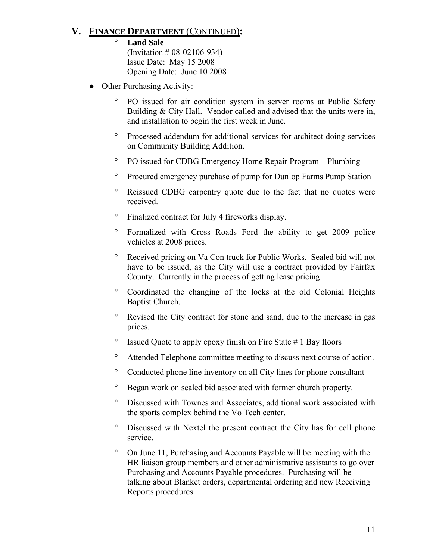# **V. FINANCE DEPARTMENT** (CONTINUED)**:**

- **Land Sale**  (Invitation # 08-02106-934) Issue Date: May 15 2008 Opening Date: June 10 2008
- Other Purchasing Activity:
	- PO issued for air condition system in server rooms at Public Safety Building & City Hall. Vendor called and advised that the units were in, and installation to begin the first week in June.
	- ° Processed addendum for additional services for architect doing services on Community Building Addition.
	- ° PO issued for CDBG Emergency Home Repair Program Plumbing
	- ° Procured emergency purchase of pump for Dunlop Farms Pump Station
	- Reissued CDBG carpentry quote due to the fact that no quotes were received.
	- ° Finalized contract for July 4 fireworks display.
	- ° Formalized with Cross Roads Ford the ability to get 2009 police vehicles at 2008 prices.
	- ° Received pricing on Va Con truck for Public Works. Sealed bid will not have to be issued, as the City will use a contract provided by Fairfax County. Currently in the process of getting lease pricing.
	- ° Coordinated the changing of the locks at the old Colonial Heights Baptist Church.
	- Revised the City contract for stone and sand, due to the increase in gas prices.
	- ° Issued Quote to apply epoxy finish on Fire State # 1 Bay floors
	- ° Attended Telephone committee meeting to discuss next course of action.
	- ° Conducted phone line inventory on all City lines for phone consultant
	- ° Began work on sealed bid associated with former church property.
	- ° Discussed with Townes and Associates, additional work associated with the sports complex behind the Vo Tech center.
	- ° Discussed with Nextel the present contract the City has for cell phone service.
	- ° On June 11, Purchasing and Accounts Payable will be meeting with the HR liaison group members and other administrative assistants to go over Purchasing and Accounts Payable procedures. Purchasing will be talking about Blanket orders, departmental ordering and new Receiving Reports procedures.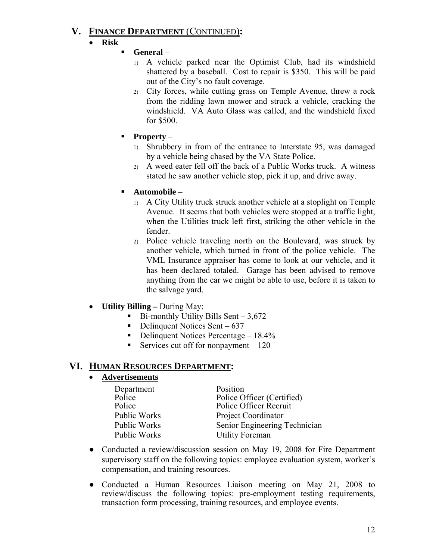# **V. FINANCE DEPARTMENT** (CONTINUED)**:**

- **Risk** 
	- **General**
		- 1) A vehicle parked near the Optimist Club, had its windshield shattered by a baseball. Cost to repair is \$350. This will be paid out of the City's no fault coverage.
		- 2) City forces, while cutting grass on Temple Avenue, threw a rock from the ridding lawn mower and struck a vehicle, cracking the windshield. VA Auto Glass was called, and the windshield fixed for \$500.
	- **Property**
		- 1) Shrubbery in from of the entrance to Interstate 95, was damaged by a vehicle being chased by the VA State Police.
		- 2) A weed eater fell off the back of a Public Works truck. A witness stated he saw another vehicle stop, pick it up, and drive away.
	- **Automobile**
		- 1) A City Utility truck struck another vehicle at a stoplight on Temple Avenue. It seems that both vehicles were stopped at a traffic light, when the Utilities truck left first, striking the other vehicle in the fender.
		- 2) Police vehicle traveling north on the Boulevard, was struck by another vehicle, which turned in front of the police vehicle. The VML Insurance appraiser has come to look at our vehicle, and it has been declared totaled. Garage has been advised to remove anything from the car we might be able to use, before it is taken to the salvage yard.
- **Utility Billing** During May:
	- Bi-monthly Utility Bills Sent 3,672
	- Delinquent Notices Sent  $637$
	- Delinquent Notices Percentage  $18.4\%$
	- Services cut off for nonpayment 120

# **VI. HUMAN RESOURCES DEPARTMENT:**

# • **Advertisements**

| Department   | Position                      |
|--------------|-------------------------------|
| Police       | Police Officer (Certified)    |
| Police       | Police Officer Recruit        |
| Public Works | <b>Project Coordinator</b>    |
| Public Works | Senior Engineering Technician |
| Public Works | <b>Utility Foreman</b>        |
|              |                               |

- Conducted a review/discussion session on May 19, 2008 for Fire Department supervisory staff on the following topics: employee evaluation system, worker's compensation, and training resources.
- Conducted a Human Resources Liaison meeting on May 21, 2008 to review/discuss the following topics: pre-employment testing requirements, transaction form processing, training resources, and employee events.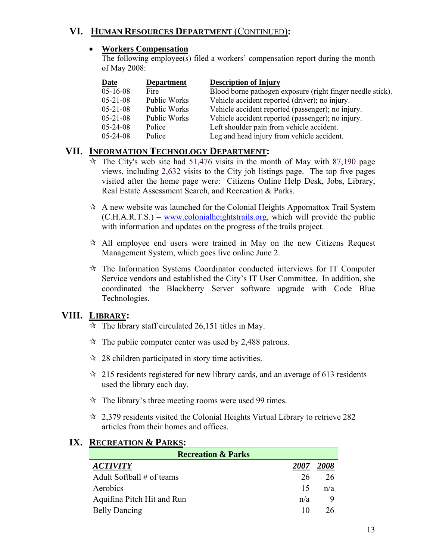# **VI. HUMAN RESOURCES DEPARTMENT** (CONTINUED)**:**

#### • **Workers Compensation**

The following employee(s) filed a workers' compensation report during the month of May 2008:

| <b>Date</b>    | <b>Department</b> | <b>Description of Injury</b>                               |
|----------------|-------------------|------------------------------------------------------------|
| $05-16-08$     | Fire              | Blood borne pathogen exposure (right finger needle stick). |
| $05 - 21 - 08$ | Public Works      | Vehicle accident reported (driver); no injury.             |
| $05 - 21 - 08$ | Public Works      | Vehicle accident reported (passenger); no injury.          |
| $05 - 21 - 08$ | Public Works      | Vehicle accident reported (passenger); no injury.          |
| $05 - 24 - 08$ | Police            | Left shoulder pain from vehicle accident.                  |
| $05 - 24 - 08$ | Police            | Leg and head injury from vehicle accident.                 |

# **VII. INFORMATION TECHNOLOGY DEPARTMENT:**

- $\dot{\mathbf{x}}$  The City's web site had 51,476 visits in the month of May with 87,190 page views, including 2,632 visits to the City job listings page. The top five pages visited after the home page were: Citizens Online Help Desk, Jobs, Library, Real Estate Assessment Search, and Recreation & Parks.
- $\lambda$  A new website was launched for the Colonial Heights Appomattox Trail System (C.H.A.R.T.S.) – www.colonialheightstrails.org, which will provide the public with information and updates on the progress of the trails project.
- $\lambda$  All employee end users were trained in May on the new Citizens Request Management System, which goes live online June 2.
- $\mathcal{R}$  The Information Systems Coordinator conducted interviews for IT Computer Service vendors and established the City's IT User Committee. In addition, she coordinated the Blackberry Server software upgrade with Code Blue Technologies.

# **VIII. LIBRARY:**

- $\approx$  The library staff circulated 26,151 titles in May.
- $\approx$  The public computer center was used by 2,488 patrons.
- $\approx$  28 children participated in story time activities.
- $\approx$  215 residents registered for new library cards, and an average of 613 residents used the library each day.
- $\hat{x}$  The library's three meeting rooms were used 99 times.
- $\approx$  2,379 residents visited the Colonial Heights Virtual Library to retrieve 282 articles from their homes and offices.

| <b>Recreation &amp; Parks</b> |      |  |  |
|-------------------------------|------|--|--|
| 2007                          | 2008 |  |  |
| 26                            | 26   |  |  |
| 15                            | n/a  |  |  |
| n/a                           |      |  |  |
|                               |      |  |  |
|                               |      |  |  |

# **IX. RECREATION & PARKS:**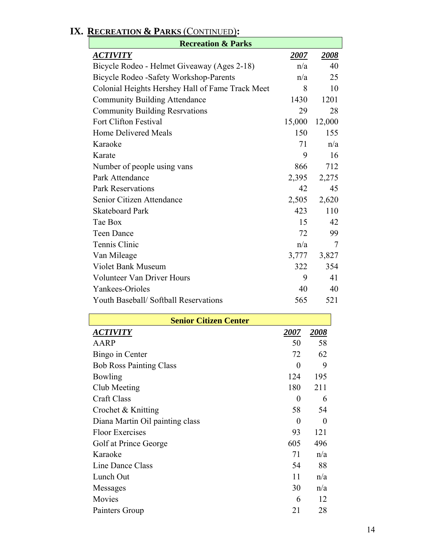| <b>Recreation &amp; Parks</b>                    |             |             |  |
|--------------------------------------------------|-------------|-------------|--|
| <u>ACTIVITY</u>                                  | <u>2007</u> | <b>2008</b> |  |
| Bicycle Rodeo - Helmet Giveaway (Ages 2-18)      | n/a         | 40          |  |
| Bicycle Rodeo - Safety Workshop-Parents          | n/a         | 25          |  |
| Colonial Heights Hershey Hall of Fame Track Meet | 8           | 10          |  |
| <b>Community Building Attendance</b>             | 1430        | 1201        |  |
| <b>Community Building Resrvations</b>            | 29          | 28          |  |
| <b>Fort Clifton Festival</b>                     | 15,000      | 12,000      |  |
| Home Delivered Meals                             | 150         | 155         |  |
| Karaoke                                          | 71          | n/a         |  |
| Karate                                           | 9           | 16          |  |
| Number of people using vans                      | 866         | 712         |  |
| Park Attendance                                  | 2,395       | 2,275       |  |
| <b>Park Reservations</b>                         | 42          | 45          |  |
| Senior Citizen Attendance                        | 2,505       | 2,620       |  |
| <b>Skateboard Park</b>                           | 423         | 110         |  |
| Tae Box                                          | 15          | 42          |  |
| <b>Teen Dance</b>                                | 72          | 99          |  |
| Tennis Clinic                                    | n/a         | 7           |  |
| Van Mileage                                      | 3,777       | 3,827       |  |
| <b>Violet Bank Museum</b>                        | 322         | 354         |  |
| Volunteer Van Driver Hours                       | 9           | 41          |  |
| Yankees-Orioles                                  | 40          | 40          |  |
| Youth Baseball/Softball Reservations             | 565         | 521         |  |

| <b>Senior Citizen Center</b>    |      |          |  |
|---------------------------------|------|----------|--|
| <u>ACTIVITY</u>                 | 2007 | 2008     |  |
| AARP                            | 50   | 58       |  |
| Bingo in Center                 | 72   | 62       |  |
| <b>Bob Ross Painting Class</b>  | 0    | 9        |  |
| Bowling                         | 124  | 195      |  |
| Club Meeting                    | 180  | 211      |  |
| <b>Craft Class</b>              | 0    | 6        |  |
| Crochet & Knitting              | 58   | 54       |  |
| Diana Martin Oil painting class | 0    | $\theta$ |  |
| <b>Floor Exercises</b>          | 93   | 121      |  |
| Golf at Prince George           | 605  | 496      |  |
| Karaoke                         | 71   | n/a      |  |
| Line Dance Class                | 54   | 88       |  |
| Lunch Out                       | 11   | n/a      |  |
| Messages                        | 30   | n/a      |  |
| Movies                          | 6    | 12       |  |
| Painters Group                  | 21   | 28       |  |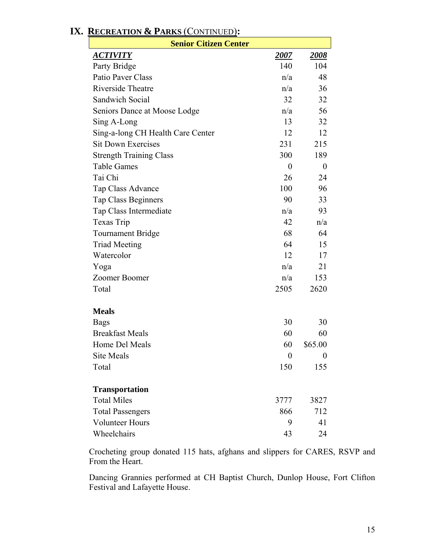| <b>Senior Citizen Center</b>      |                  |                  |
|-----------------------------------|------------------|------------------|
| <u>ACTIVITY</u>                   | <u>2007</u>      | <u> 2008 </u>    |
| Party Bridge                      | 140              | 104              |
| Patio Paver Class                 | n/a              | 48               |
| Riverside Theatre                 | n/a              | 36               |
| <b>Sandwich Social</b>            | 32               | 32               |
| Seniors Dance at Moose Lodge      | n/a              | 56               |
| Sing A-Long                       | 13               | 32               |
| Sing-a-long CH Health Care Center | 12               | 12               |
| <b>Sit Down Exercises</b>         | 231              | 215              |
| <b>Strength Training Class</b>    | 300              | 189              |
| <b>Table Games</b>                | $\boldsymbol{0}$ | $\boldsymbol{0}$ |
| Tai Chi                           | 26               | 24               |
| Tap Class Advance                 | 100              | 96               |
| <b>Tap Class Beginners</b>        | 90               | 33               |
| Tap Class Intermediate            | n/a              | 93               |
| Texas Trip                        | 42               | n/a              |
| <b>Tournament Bridge</b>          | 68               | 64               |
| <b>Triad Meeting</b>              | 64               | 15               |
| Watercolor                        | 12               | 17               |
| Yoga                              | n/a              | 21               |
| Zoomer Boomer                     | n/a              | 153              |
| Total                             | 2505             | 2620             |
| <b>Meals</b>                      |                  |                  |
| <b>Bags</b>                       | 30               | 30               |
| <b>Breakfast Meals</b>            | 60               | 60               |
| Home Del Meals                    | 60               | \$65.00          |
| Site Meals                        | $\boldsymbol{0}$ | $\boldsymbol{0}$ |
| Total                             | 150              | 155              |
| <b>Transportation</b>             |                  |                  |
| <b>Total Miles</b>                | 3777             | 3827             |
| <b>Total Passengers</b>           | 866              | 712              |
| <b>Volunteer Hours</b>            | 9                | 41               |
| Wheelchairs                       | 43               | 24               |

# **IX. RECREATION & PARKS** (CONTINUED)**:**

Crocheting group donated 115 hats, afghans and slippers for CARES, RSVP and From the Heart.

Dancing Grannies performed at CH Baptist Church, Dunlop House, Fort Clifton Festival and Lafayette House.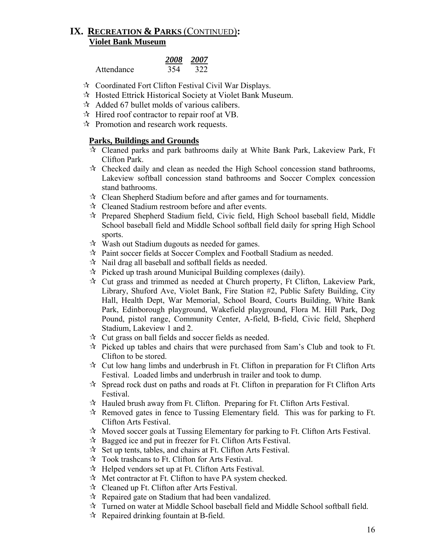# **IX. RECREATION & PARKS** (CONTINUED)**: Violet Bank Museum**

|            | 2008 2007 |     |
|------------|-----------|-----|
| Attendance | 354       | 322 |

- Coordinated Fort Clifton Festival Civil War Displays.
- Hosted Ettrick Historical Society at Violet Bank Museum.
- $\approx$  Added 67 bullet molds of various calibers.
- $\mathcal{A}$  Hired roof contractor to repair roof at VB.
- $\mathcal{R}$  Promotion and research work requests.

#### **Parks, Buildings and Grounds**

- $\hat{\tau}$  Cleaned parks and park bathrooms daily at White Bank Park, Lakeview Park, Ft Clifton Park.
- $\mathcal{R}$  Checked daily and clean as needed the High School concession stand bathrooms, Lakeview softball concession stand bathrooms and Soccer Complex concession stand bathrooms.
- $\mathcal{R}$  Clean Shepherd Stadium before and after games and for tournaments.
- Cleaned Stadium restroom before and after events.
- $\mathcal{R}$  Prepared Shepherd Stadium field, Civic field, High School baseball field, Middle School baseball field and Middle School softball field daily for spring High School sports.
- $\mathcal{R}$  Wash out Stadium dugouts as needed for games.
- Paint soccer fields at Soccer Complex and Football Stadium as needed.
- $\lambda$  Nail drag all baseball and softball fields as needed.
- $\mathcal{R}$  Picked up trash around Municipal Building complexes (daily).
- $\mathcal{R}$  Cut grass and trimmed as needed at Church property, Ft Clifton, Lakeview Park, Library, Shuford Ave, Violet Bank, Fire Station #2, Public Safety Building, City Hall, Health Dept, War Memorial, School Board, Courts Building, White Bank Park, Edinborough playground, Wakefield playground, Flora M. Hill Park, Dog Pound, pistol range, Community Center, A-field, B-field, Civic field, Shepherd Stadium, Lakeview 1 and 2.
- $\mathcal{R}$  Cut grass on ball fields and soccer fields as needed.
- $\hat{\tau}$  Picked up tables and chairs that were purchased from Sam's Club and took to Ft. Clifton to be stored.
- $\mathcal{R}$  Cut low hang limbs and underbrush in Ft. Clifton in preparation for Ft Clifton Arts Festival. Loaded limbs and underbrush in trailer and took to dump.
- $\mathcal{R}$  Spread rock dust on paths and roads at Ft. Clifton in preparation for Ft Clifton Arts Festival.
- $\mathcal{A}$  Hauled brush away from Ft. Clifton. Preparing for Ft. Clifton Arts Festival.
- $\mathcal{R}$  Removed gates in fence to Tussing Elementary field. This was for parking to Ft. Clifton Arts Festival.
- $\mathcal{R}$  Moved soccer goals at Tussing Elementary for parking to Ft. Clifton Arts Festival.
- $\mathcal{R}$  Bagged ice and put in freezer for Ft. Clifton Arts Festival.
- $\hat{x}$  Set up tents, tables, and chairs at Ft. Clifton Arts Festival.
- $\mathcal{R}$  Took trashcans to Ft. Clifton for Arts Festival.
- $\mathcal{A}$  Helped vendors set up at Ft. Clifton Arts Festival.
- $\mathcal{R}$  Met contractor at Ft. Clifton to have PA system checked.
- $\mathcal{R}$  Cleaned up Ft. Clifton after Arts Festival.
- $\mathcal{R}$  Repaired gate on Stadium that had been vandalized.
- $\star$  Turned on water at Middle School baseball field and Middle School softball field.
- $\mathcal{R}$  Repaired drinking fountain at B-field.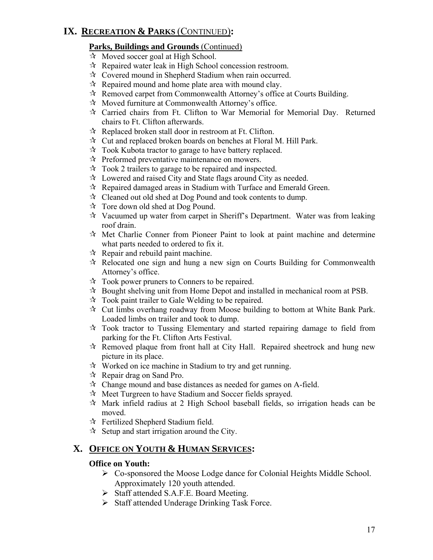# **IX. RECREATION & PARKS** (CONTINUED)**:**

#### **Parks, Buildings and Grounds** (Continued)

- $\overline{\mathcal{A}}$  Moved soccer goal at High School.
- $\mathcal{R}$  Repaired water leak in High School concession restroom.
- Covered mound in Shepherd Stadium when rain occurred.
- $\mathcal{R}$  Repaired mound and home plate area with mound clay.
- $\mathcal{R}$  Removed carpet from Commonwealth Attorney's office at Courts Building.
- $\mathcal{R}$  Moved furniture at Commonwealth Attorney's office.
- Carried chairs from Ft. Clifton to War Memorial for Memorial Day. Returned chairs to Ft. Clifton afterwards.
- $\mathcal{R}$  Replaced broken stall door in restroom at Ft. Clifton.
- $\mathbf{\hat{x}}$  Cut and replaced broken boards on benches at Floral M. Hill Park.
- $\mathcal{R}$  Took Kubota tractor to garage to have battery replaced.
- $\mathcal{R}$  Preformed preventative maintenance on mowers.
- $\approx$  Took 2 trailers to garage to be repaired and inspected.
- $\star$  Lowered and raised City and State flags around City as needed.
- $\mathcal{R}$  Repaired damaged areas in Stadium with Turface and Emerald Green.
- $\mathcal{R}$  Cleaned out old shed at Dog Pound and took contents to dump.
- $\mathcal{R}$  Tore down old shed at Dog Pound.
- $\lambda$  Vacuumed up water from carpet in Sheriff's Department. Water was from leaking roof drain.
- $\mathcal{A}$  Met Charlie Conner from Pioneer Paint to look at paint machine and determine what parts needed to ordered to fix it.
- $\mathcal{R}$  Repair and rebuild paint machine.
- $\hat{\mathcal{R}}$  Relocated one sign and hung a new sign on Courts Building for Commonwealth Attorney's office.
- $\mathcal{R}$  Took power pruners to Conners to be repaired.
- $\mathcal{R}$  Bought shelving unit from Home Depot and installed in mechanical room at PSB.
- $\mathcal{R}$  Took paint trailer to Gale Welding to be repaired.
- $\mathcal{R}$  Cut limbs overhang roadway from Moose building to bottom at White Bank Park. Loaded limbs on trailer and took to dump.
- Took tractor to Tussing Elementary and started repairing damage to field from parking for the Ft. Clifton Arts Festival.
- $\lambda$  Removed plaque from front hall at City Hall. Repaired sheetrock and hung new picture in its place.
- $\mathbf{\hat{x}}$  Worked on ice machine in Stadium to try and get running.
- $\forall$  Repair drag on Sand Pro.
- $\mathcal{R}$  Change mound and base distances as needed for games on A-field.
- $\mathcal{R}$  Meet Turgreen to have Stadium and Soccer fields sprayed.
- $\mathcal{R}$  Mark infield radius at 2 High School baseball fields, so irrigation heads can be moved.
- Fertilized Shepherd Stadium field.
- $\mathcal{R}$  Setup and start irrigation around the City.

# **X. OFFICE ON YOUTH & HUMAN SERVICES:**

#### **Office on Youth:**

- ¾ Co-sponsored the Moose Lodge dance for Colonial Heights Middle School. Approximately 120 youth attended.
- ¾ Staff attended S.A.F.E. Board Meeting.
- ¾ Staff attended Underage Drinking Task Force.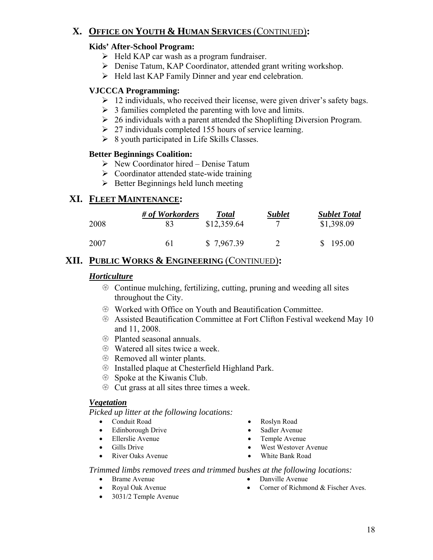# **X. OFFICE ON YOUTH & HUMAN SERVICES** (CONTINUED)**:**

## **Kids' After-School Program:**

- $\triangleright$  Held KAP car wash as a program fundraiser.
- ¾ Denise Tatum, KAP Coordinator, attended grant writing workshop.
- ¾ Held last KAP Family Dinner and year end celebration.

# **VJCCCA Programming:**

- $\geq 12$  individuals, who received their license, were given driver's safety bags.
- $\geq 3$  families completed the parenting with love and limits.
- $\geq 26$  individuals with a parent attended the Shoplifting Diversion Program.
- $\geq$  27 individuals completed 155 hours of service learning.
- $\triangleright$  8 youth participated in Life Skills Classes.

#### **Better Beginnings Coalition:**

- $\triangleright$  New Coordinator hired Denise Tatum
- $\triangleright$  Coordinator attended state-wide training
- $\triangleright$  Better Beginnings held lunch meeting

# **XI. FLEET MAINTENANCE:**

|      | # of Workorders | <b>Total</b> | <b>Sublet</b> | <b>Sublet Total</b> |
|------|-----------------|--------------|---------------|---------------------|
| 2008 |                 | \$12,359.64  |               | \$1,398.09          |
| 2007 | 61              | \$7,967.39   |               | \$195.00            |

# **XII. PUBLIC WORKS & ENGINEERING** (CONTINUED)**:**

## *Horticulture*

- $\circledast$  Continue mulching, fertilizing, cutting, pruning and weeding all sites throughout the City.
- $\circledast$  Worked with Office on Youth and Beautification Committee.
- **EXECUTE:** Assisted Beautification Committee at Fort Clifton Festival weekend May 10 and 11, 2008.
- $\circledR$  Planted seasonal annuals.
- $\circled{$  Watered all sites twice a week.
- **EXECUTE:** Removed all winter plants.
- $\circledast$  Installed plaque at Chesterfield Highland Park.
- $\circledR$  Spoke at the Kiwanis Club.
- $\circledast$  Cut grass at all sites three times a week.

#### *Vegetation*

*Picked up litter at the following locations:* 

- Conduit Road Roslyn Road
- Edinborough Drive Sadler Avenue
- Ellerslie Avenue Temple Avenue
- 
- River Oaks Avenue White Bank Road
- 
- 
- 
- Gills Drive West Westover Avenue
	-

#### *Trimmed limbs removed trees and trimmed bushes at the following locations:*

- 
- 
- 3031/2 Temple Avenue
- Brame Avenue Danville Avenue
- Royal Oak Avenue Corner of Richmond & Fischer Aves.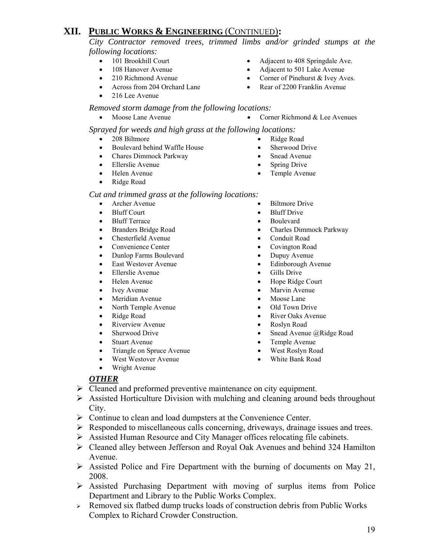*City Contractor removed trees, trimmed limbs and/or grinded stumps at the following locations:* 

- 
- 
- 
- 
- 216 Lee Avenue
- Across from 204 Orchard Lane Rear of 2200 Franklin Avenue
- *Removed storm damage from the following locations:* 
	- Moose Lane Avenue Corner Richmond & Lee Avenues

 *Sprayed for weeds and high grass at the following locations:* 

- 208 Biltmore Ridge Road
- Boulevard behind Waffle House Sherwood Drive
- Chares Dimmock Parkway Snead Avenue
- Ellerslie Avenue Spring Drive
- Helen Avenue Temple Avenue
- Ridge Road

#### *Cut and trimmed grass at the following locations:*

- 
- Bluff Court Bluff Drive
- Bluff Terrace Boulevard
- 
- Chesterfield Avenue Conduit Road
- Convenience Center Covington Road
- Dunlop Farms Boulevard Dupuy Avenue
- East Westover Avenue Edinborough Avenue
- Ellerslie Avenue Gills Drive
- 
- 
- Meridian Avenue Moose Lane
- North Temple Avenue Old Town Drive
- 
- Riverview Avenue Roslyn Road
- 
- 
- Triangle on Spruce Avenue West Roslyn Road
- 
- Wright Avenue
- 
- 
- Ivey Avenue Marvin Avenue
	-
	-
- Ridge Road River Oaks Avenue
	-
- Sherwood Drive Snead Avenue @Ridge Road
- Stuart Avenue Temple Avenue
	-
	-

#### *OTHER*

- $\triangleright$  Cleaned and preformed preventive maintenance on city equipment.
- $\triangleright$  Assisted Horticulture Division with mulching and cleaning around beds throughout City.
- ¾ Continue to clean and load dumpsters at the Convenience Center.
- ¾ Responded to miscellaneous calls concerning, driveways, drainage issues and trees.
- ¾ Assisted Human Resource and City Manager offices relocating file cabinets.
- ¾ Cleaned alley between Jefferson and Royal Oak Avenues and behind 324 Hamilton Avenue.
- $\triangleright$  Assisted Police and Fire Department with the burning of documents on May 21, 2008.
- $\triangleright$  Assisted Purchasing Department with moving of surplus items from Police Department and Library to the Public Works Complex.
- <sup>¾</sup> Removed six flatbed dump trucks loads of construction debris from Public Works Complex to Richard Crowder Construction.
- 
- 
- 
- 
- 
- 
- Archer Avenue Biltmore Drive
	-
	-
- Branders Bridge Road Charles Dimmock Parkway
	-
	-
	-
	-
	-
- Helen Avenue Hope Ridge Court
	-
	-
	-
	-
	-
	-
	-
	-
- West Westover Avenue White Bank Road
- 101 Brookhill Court Adjacent to 408 Springdale Ave.
- 108 Hanover Avenue Adjacent to 501 Lake Avenue
- 210 Richmond Avenue Corner of Pinehurst & Ivey Aves.
	-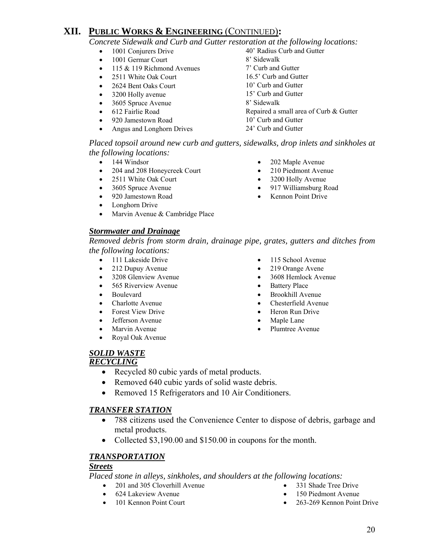*Concrete Sidewalk and Curb and Gutter restoration at the following locations:* 

- 
- 1001 Germar Court 8' Sidewalk
- 115 & 119 Richmond Avenues 7' Curb and Gutter
- 2511 White Oak Court 16.5' Curb and Gutter
- 2624 Bent Oaks Court 10' Curb and Gutter
- 3200 Holly avenue 15' Curb and Gutter
- 3605 Spruce Avenue 8' Sidewalk
- 
- 920 Jamestown Road 10' Curb and Gutter
- Angus and Longhorn Drives 24' Curb and Gutter
- 1001 Conjurers Drive 40' Radius Curb and Gutter • 612 Fairlie Road Repaired a small area of Curb & Gutter

#### *Placed topsoil around new curb and gutters, sidewalks, drop inlets and sinkholes at the following locations:*

- 
- 204 and 208 Honeycreek Court 210 Piedmont Avenue
- 
- 
- 
- Longhorn Drive
- Marvin Avenue & Cambridge Place

#### *Stormwater and Drainage*

• 2511 White Oak Court • 3200 Holly Avenue • 3605 Spruce Avenue • 917 Williamsburg Road

• 920 Jamestown Road • Kennon Point Drive

*Removed debris from storm drain, drainage pipe, grates, gutters and ditches from the following locations:* 

- 
- 
- 
- 565 Riverview Avenue Battery Place
- 
- 
- Forest View Drive Heron Run Drive
- Jefferson Avenue Maple Lane
- 
- Royal Oak Avenue
- 111 Lakeside Drive 115 School Avenue
- 212 Dupuy Avenue 219 Orange Avene
- 3208 Glenview Avenue 3608 Hemlock Avenue
	-
- Boulevard Brookhill Avenue
- Charlotte Avenue Chesterfield Avenue
	-
	-
- Marvin Avenue Plumtree Avenue

# *SOLID WASTE*

# *RECYCLING*

- Recycled 80 cubic yards of metal products.
- Removed 640 cubic vards of solid waste debris.
- Removed 15 Refrigerators and 10 Air Conditioners.

#### *TRANSFER STATION*

- 788 citizens used the Convenience Center to dispose of debris, garbage and metal products.
- Collected \$3,190.00 and \$150.00 in coupons for the month.

#### *TRANSPORTATION*

#### *Streets*

 *Placed stone in alleys, sinkholes, and shoulders at the following locations:* 

- 201 and 305 Cloverhill Avenue 331 Shade Tree Drive
- 624 Lakeview Avenue 150 Piedmont Avenue
- 
- 
- 
- 101 Kennon Point Court **•** 263-269 Kennon Point Drive
- 144 Windsor 202 Maple Avenue
	-
	-
	-
	-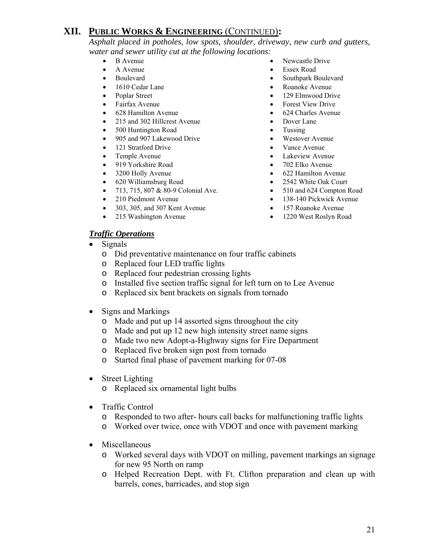*Asphalt placed in potholes, low spots, shoulder, driveway, new curb and gutters, water and sewer utility cut at the following locations:* 

- 
- 
- 
- 1610 Cedar Lane Roanoke Avenue
- 
- 
- 628 Hamilton Avenue 624 Charles Avenue
- 215 and 302 Hillcrest Avenue Dover Lane
- 500 Huntington Road Tussing
- 905 and 907 Lakewood Drive Westover Avenue
- 121 Stratford Drive Vance Avenue
- 
- 919 Yorkshire Road 702 Elko Avenue
- 
- 620 Williamsburg Road 2542 White Oak Court
- 713, 715, 807 & 80-9 Colonial Ave. 510 and 624 Compton Road
- 210 Piedmont Avenue 138-140 Pickwick Avenue
- 303, 305, and 307 Kent Avenue 157 Roanoke Avenue
- 215 Washington Avenue 1220 West Roslyn Road

#### *Traffic Operations*

- Signals
	- o Did preventative maintenance on four traffic cabinets
	- o Replaced four LED traffic lights
	- o Replaced four pedestrian crossing lights
	- o Installed five section traffic signal for left turn on to Lee Avenue
	- o Replaced six bent brackets on signals from tornado
- Signs and Markings
	- o Made and put up 14 assorted signs throughout the city
	- o Made and put up 12 new high intensity street name signs
	- o Made two new Adopt-a-Highway signs for Fire Department
	- o Replaced five broken sign post from tornado
	- o Started final phase of pavement marking for 07-08
- Street Lighting
	- o Replaced six ornamental light bulbs
- Traffic Control
	- o Responded to two after- hours call backs for malfunctioning traffic lights
	- o Worked over twice, once with VDOT and once with pavement marking
- Miscellaneous
	- o Worked several days with VDOT on milling, pavement markings an signage for new 95 North on ramp
	- o Helped Recreation Dept. with Ft. Clifton preparation and clean up with barrels, cones, barricades, and stop sign
- B Avenue Newcastle Drive
- A Avenue Essex Road
- Boulevard Southpark Boulevard
	-
- Poplar Street 129 Elmwood Drive
	- Fairfax Avenue Forest View Drive
		-
		-
		-
		-
		-
	- Temple Avenue Lakeview Avenue Lakeview Avenue
		-
- 3200 Holly Avenue 622 Hamilton Avenue
	-
	-
	-
	-
	-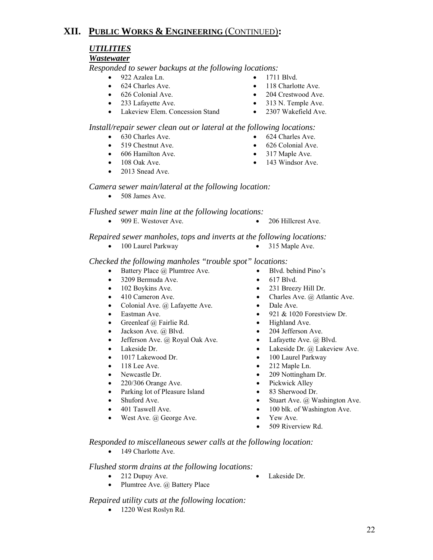# *UTILITIES*

#### *Wastewater*

 *Responded to sewer backups at the following locations:* 

- 922 Azalea Ln. 1711 Blvd.
- 
- 
- 
- Lakeview Elem. Concession Stand 2307 Wakefield Ave.
- 
- 624 Charles Ave. 118 Charlotte Ave.
- 626 Colonial Ave. 204 Crestwood Ave.
- 233 Lafayette Ave. 313 N. Temple Ave.
	-

#### *Install/repair sewer clean out or lateral at the following locations:*

- 630 Charles Ave. 624 Charles Ave.
- 519 Chestnut Ave. 626 Colonial Ave.
- 606 Hamilton Ave. 317 Maple Ave.
- 108 Oak Ave. 143 Windsor Ave.
- 2013 Snead Ave.
- 

# *Camera sewer main/lateral at the following location:*

• 508 James Ave.

 *Flushed sewer main line at the following locations:* 

• 909 E. Westover Ave. • 206 Hillcrest Ave.

#### *Repaired sewer manholes, tops and inverts at the following locations:*

• 100 Laurel Parkway • 315 Maple Ave.

#### *Checked the following manholes "trouble spot" locations:*

- Battery Place @ Plumtree Ave. Blvd. behind Pino's
- 3209 Bermuda Ave.
- 102 Boykins Ave.
- 410 Cameron Ave.
- Colonial Ave.  $(a)$  Lafayette Ave.
- Eastman Ave.
- Greenleaf @ Fairlie Rd.
- Jackson Ave. @ Blvd.
- Jefferson Ave. @ Royal Oak Ave.
- Lakeside Dr.
- 1017 Lakewood Dr.
- 118 Lee Ave.
- Newcastle Dr.
- 220/306 Orange Ave.
- Parking lot of Pleasure Island
- Shuford Ave.
- 401 Taswell Ave.
- West Ave. @ George Ave.
- 
- 
- 231 Breezy Hill Dr.
- Charles Ave. @ Atlantic Ave.
- Dale Ave.
- 921  $& 1020$  Forestview Dr.
- Highland Ave.
- 204 Jefferson Ave.
- Lafayette Ave.  $(a)$  Blvd.
- Lakeside Dr. @ Lakeview Ave.
- 100 Laurel Parkway
- 212 Maple Ln.
- 209 Nottingham Dr.
- Pickwick Alley
- 83 Sherwood Dr.
- Stuart Ave. @ Washington Ave.
- 100 blk. of Washington Ave.
- Yew Ave.
- 509 Riverview Rd.

 *Responded to miscellaneous sewer calls at the following location:* 

• 149 Charlotte Ave.

#### *Flushed storm drains at the following locations:*

- 212 Dupuy Ave. Lakeside Dr.
	-

#### *Repaired utility cuts at the following location:*

• Plumtree Ave. @ Battery Place

• 1220 West Roslyn Rd.

- -
- 617 Blvd.
- 
- 
- 
-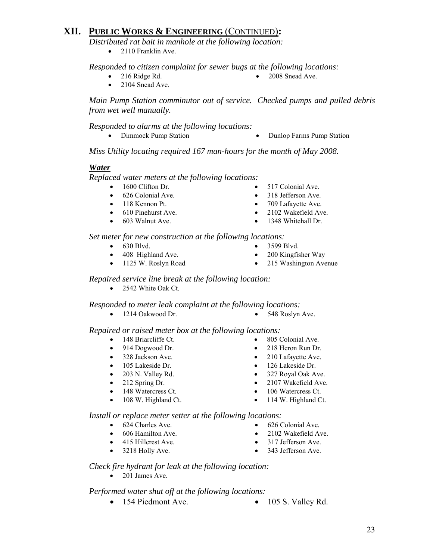*Distributed rat bait in manhole at the following location:* 

• 2110 Franklin Ave.

 *Responded to citizen complaint for sewer bugs at the following locations:* 

- - 216 Ridge Rd. 2008 Snead Ave.
	- 2104 Snead Ave.

 *Main Pump Station comminutor out of service. Checked pumps and pulled debris from wet well manually.* 

 *Responded to alarms at the following locations:* 

- 
- Dimmock Pump Station Dunlop Farms Pump Station

 *Miss Utility locating required 167 man-hours for the month of May 2008.*

#### *Water*

 *Replaced water meters at the following locations:* 

- 1600 Clifton Dr. 517 Colonial Ave.
- 626 Colonial Ave. 318 Jefferson Ave.
- 118 Kennon Pt. 709 Lafayette Ave.
- 610 Pinehurst Ave. 2102 Wakefield Ave.
- 
- 
- 
- 
- 
- 603 Walnut Ave. 1348 Whitehall Dr.

 *Set meter for new construction at the following locations:* 

- 630 Blvd. 3599 Blvd.
- 408 Highland Ave. 200 Kingfisher Way
- 
- 
- 
- 1125 W. Roslyn Road 215 Washington Avenue

 *Repaired service line break at the following location:* 

• 2542 White Oak Ct.

 *Responded to meter leak complaint at the following locations:* 

• 1214 Oakwood Dr. • 548 Roslyn Ave.

 *Repaired or raised meter box at the following locations:* 

- 148 Briarcliffe Ct. 805 Colonial Ave.
- 
- 
- 
- 
- 
- 
- 
- 
- 914 Dogwood Dr. 218 Heron Run Dr.
- 328 Jackson Ave. 210 Lafayette Ave.
- 105 Lakeside Dr. 126 Lakeside Dr.
- 203 N. Valley Rd. 327 Royal Oak Ave.
- 212 Spring Dr. 2107 Wakefield Ave.
- 148 Watercress Ct. 106 Watercress Ct.
- 108 W. Highland Ct. 114 W. Highland Ct.

 *Install or replace meter setter at the following locations:* 

- 
- 606 Hamilton Ave. 2102 Wakefield Ave.
- 415 Hillcrest Ave. 317 Jefferson Ave.
- 3218 Holly Ave. 343 Jefferson Ave.
- *Check fire hydrant for leak at the following location:* 
	- 201 James Ave.

#### *Performed water shut off at the following locations:*

- 154 Piedmont Ave. 105 S. Valley Rd.
- 
- 23
- 
- -
	-
	-
	-
- 
- 
- 624 Charles Ave. 626 Colonial Ave.
	-
	-
	-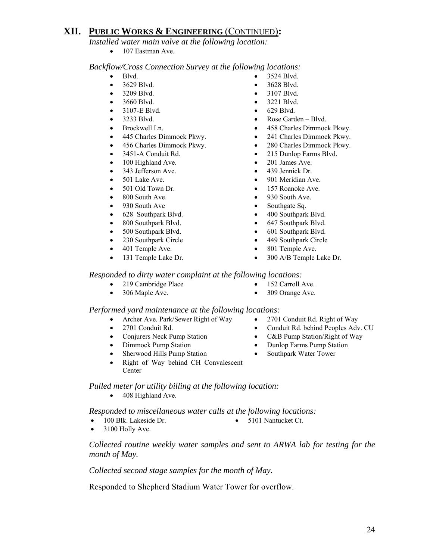*Installed water main valve at the following location:* 

• 107 Eastman Ave.

 *Backflow/Cross Connection Survey at the following locations:* 

- 
- 3629 Blvd. 3628 Blvd.
- 3209 Blvd. 3107 Blvd.
- 3660 Blvd. 3221 Blvd.
- 3107-E Blvd. 629 Blvd.
- 
- 
- 
- 
- 
- 100 Highland Ave. 201 James Ave.
- 343 Jefferson Ave. 439 Jennick Dr.
- 
- 
- 
- 930 South Ave Southgate Sq.
- 628 Southpark Blvd. 400 Southpark Blvd.
- 
- 500 Southpark Blvd. 601 Southpark Blvd.
- 230 Southpark Circle 449 Southpark Circle
- 401 Temple Ave. 801 Temple Ave.
- 
- Blvd. 3524 Blvd.
	-
	-
	-
	-
- 3233 Blvd. Rose Garden Blvd.
- Brockwell Ln. 458 Charles Dimmock Pkwy.
- 445 Charles Dimmock Pkwy. 241 Charles Dimmock Pkwy.
- 456 Charles Dimmock Pkwy. 280 Charles Dimmock Pkwy.
- 3451-A Conduit Rd. 215 Dunlop Farms Blvd.
	-
	-
- 501 Lake Ave. 901 Meridian Ave.
- 501 Old Town Dr. 157 Roanoke Ave.
- 800 South Ave. 930 South Ave.
	-
	-
- 800 Southpark Blvd. 647 Southpark Blvd.
	-
	-
	-
- 131 Temple Lake Dr. 300 A/B Temple Lake Dr.

#### *Responded to dirty water complaint at the following locations:*

- 219 Cambridge Place 152 Carroll Ave.
- 306 Maple Ave. 309 Orange Ave.

#### *Performed yard maintenance at the following locations:*

- Archer Ave. Park/Sewer Right of Way 2701 Conduit Rd. Right of Way
- 
- 
- 
- Sherwood Hills Pump Station Southpark Water Tower
- Right of Way behind CH Convalescent Center
- 
- 
- 
- 2701 Conduit Rd. Conduit Rd. behind Peoples Adv. CU
- Conjurers Neck Pump Station C&B Pump Station/Right of Way
- Dimmock Pump Station Dunlop Farms Pump Station
	-

 *Pulled meter for utility billing at the following location:* 

• 408 Highland Ave.

 *Responded to miscellaneous water calls at the following locations:* 

- 100 Blk. Lakeside Dr. 5101 Nantucket Ct.
- 

 $\bullet$  3100 Holly Ave.

 *Collected routine weekly water samples and sent to ARWA lab for testing for the month of May.* 

 *Collected second stage samples for the month of May.* 

Responded to Shepherd Stadium Water Tower for overflow.